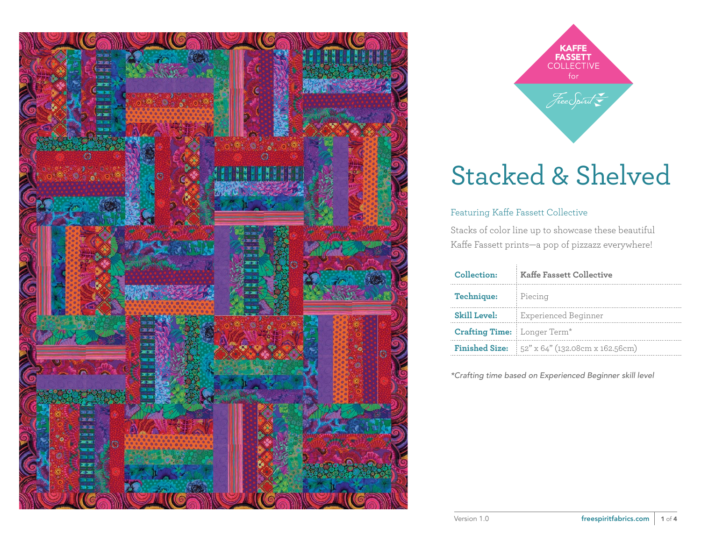



#### Featuring Kaffe Fassett Collective

Stacks of color line up to showcase these beautiful Kaffe Fassett prints—a pop of pizzazz everywhere!

| Collection:                        | <b>Kaffe Fassett Collective</b>                                |  |  |
|------------------------------------|----------------------------------------------------------------|--|--|
| <b>Technique:</b>                  | Piecing                                                        |  |  |
| <b>Skill Level:</b>                | Experienced Beginner                                           |  |  |
| <b>Crafting Time:</b> Longer Term* |                                                                |  |  |
|                                    | <b>Finished Size:</b> $52'' \times 64''$ (132.08cm x 162.56cm) |  |  |

*\*Crafting time based on Experienced Beginner skill level*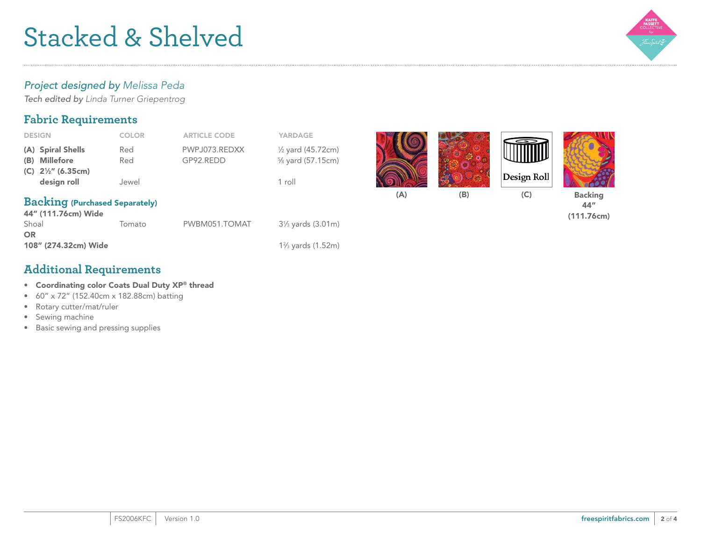

#### *Project designed by Melissa Peda*

*Tech edited by Linda Turner Griepentrog*

### **Fabric Requirements**

| <b>DESIGN</b>                                                | <b>COLOR</b> | <b>ARTICLE CODE</b>        | <b>YARDAGE</b>                                   |     |     |             |                                     |
|--------------------------------------------------------------|--------------|----------------------------|--------------------------------------------------|-----|-----|-------------|-------------------------------------|
| (A) Spiral Shells<br>(B) Millefore                           | Red<br>Red   | PWPJ073.REDXX<br>GP92.REDD | $\frac{1}{2}$ yard (45.72cm)<br>% yard (57.15cm) |     |     |             |                                     |
| (C) $2\frac{1}{2}$ (6.35cm)<br>design roll                   | Jewel        |                            | 1 roll                                           |     |     | Design Roll |                                     |
| <b>Backing (Purchased Separately)</b><br>44" (111.76cm) Wide |              |                            |                                                  | (A) | (B) | (C)         | <b>Backing</b><br>44"<br>(111.76cm) |
| Shoal<br><b>OR</b>                                           | Tomato       | PWBM051.TOMAT              | 31/ <sub>3</sub> yards (3.01m)                   |     |     |             |                                     |

⁄3 yards (1.52m)

#### **Additional Requirements**

- Coordinating color Coats Dual Duty XP® thread
- 60" x 72" (152.40cm x 182.88cm) batting
- Rotary cutter/mat/ruler

108" (274.32cm) Wide 12

- Sewing machine
- Basic sewing and pressing supplies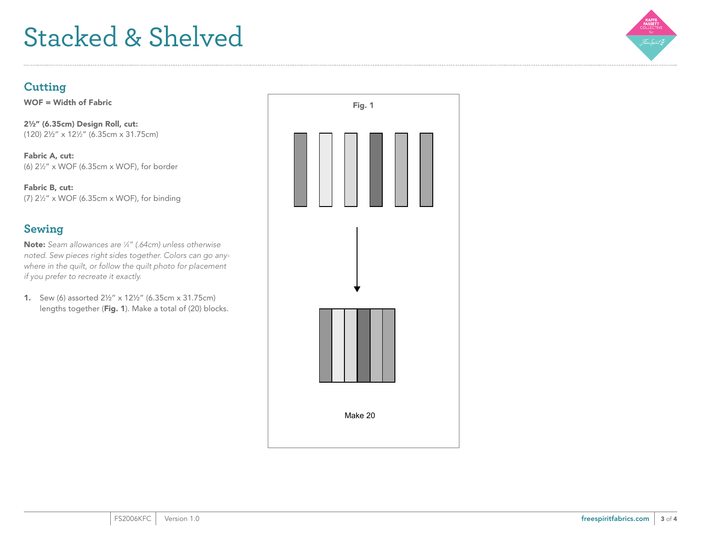

### **Cutting**

WOF = Width of Fabric

2½" (6.35cm) Design Roll, cut: (120) 2½" x 121 ⁄2" (6.35cm x 31.75cm)

Fabric A, cut: (6) 21 ⁄2" x WOF (6.35cm x WOF), for border

Fabric B, cut: (7) 21 ⁄2" x WOF (6.35cm x WOF), for binding

## **Sewing**

Note: *Seam allowances are 1 ⁄4" (.64cm) unless otherwise noted. Sew pieces right sides together. Colors can go anywhere in the quilt, or follow the quilt photo for placement if you prefer to recreate it exactly.*

1. Sew (6) assorted 2½" x 12½" (6.35cm x 31.75cm) lengths together (Fig. 1). Make a total of (20) blocks.